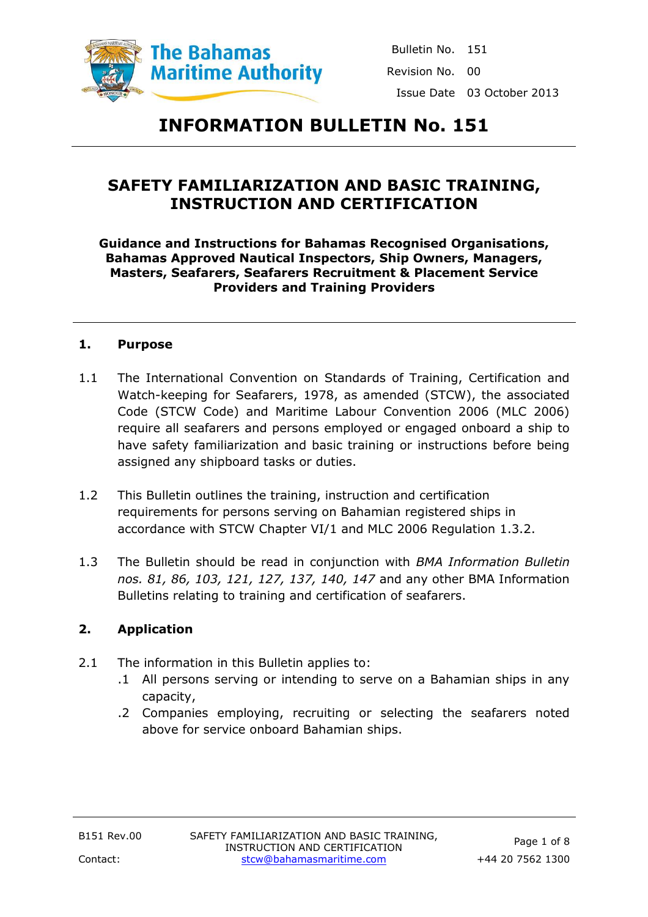

# **INFORMATION BULLETIN No. 151**

## **SAFETY FAMILIARIZATION AND BASIC TRAINING, INSTRUCTION AND CERTIFICATION**

#### **Guidance and Instructions for Bahamas Recognised Organisations, Bahamas Approved Nautical Inspectors, Ship Owners, Managers, Masters, Seafarers, Seafarers Recruitment & Placement Service Providers and Training Providers**

#### **1. Purpose**

- 1.1 The International Convention on Standards of Training, Certification and Watch-keeping for Seafarers, 1978, as amended (STCW), the associated Code (STCW Code) and Maritime Labour Convention 2006 (MLC 2006) require all seafarers and persons employed or engaged onboard a ship to have safety familiarization and basic training or instructions before being assigned any shipboard tasks or duties.
- 1.2 This Bulletin outlines the training, instruction and certification requirements for persons serving on Bahamian registered ships in accordance with STCW Chapter VI/1 and MLC 2006 Regulation 1.3.2.
- 1.3 The Bulletin should be read in conjunction with *BMA Information Bulletin nos. 81, 86, 103, 121, 127, 137, 140, 147* and any other BMA Information Bulletins relating to training and certification of seafarers.

## **2. Application**

- 2.1 The information in this Bulletin applies to:
	- .1 All persons serving or intending to serve on a Bahamian ships in any capacity,
	- .2 Companies employing, recruiting or selecting the seafarers noted above for service onboard Bahamian ships.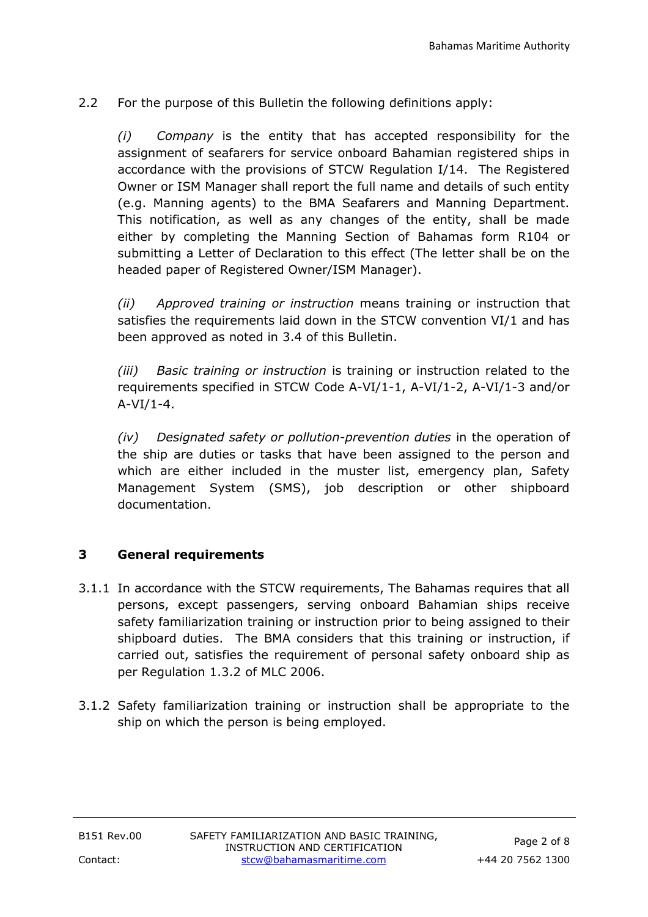2.2 For the purpose of this Bulletin the following definitions apply:

*(i) Company* is the entity that has accepted responsibility for the assignment of seafarers for service onboard Bahamian registered ships in accordance with the provisions of STCW Regulation I/14. The Registered Owner or ISM Manager shall report the full name and details of such entity (e.g. Manning agents) to the BMA Seafarers and Manning Department. This notification, as well as any changes of the entity, shall be made either by completing the Manning Section of Bahamas form R104 or submitting a Letter of Declaration to this effect (The letter shall be on the headed paper of Registered Owner/ISM Manager).

*(ii) Approved training or instruction* means training or instruction that satisfies the requirements laid down in the STCW convention VI/1 and has been approved as noted in 3.4 of this Bulletin.

*(iii) Basic training or instruction* is training or instruction related to the requirements specified in STCW Code A-VI/1-1, A-VI/1-2, A-VI/1-3 and/or  $A-VI/1-4.$ 

*(iv) Designated safety or pollution-prevention duties* in the operation of the ship are duties or tasks that have been assigned to the person and which are either included in the muster list, emergency plan, Safety Management System (SMS), job description or other shipboard documentation.

## **3 General requirements**

- 3.1.1 In accordance with the STCW requirements, The Bahamas requires that all persons, except passengers, serving onboard Bahamian ships receive safety familiarization training or instruction prior to being assigned to their shipboard duties. The BMA considers that this training or instruction, if carried out, satisfies the requirement of personal safety onboard ship as per Regulation 1.3.2 of MLC 2006.
- 3.1.2 Safety familiarization training or instruction shall be appropriate to the ship on which the person is being employed.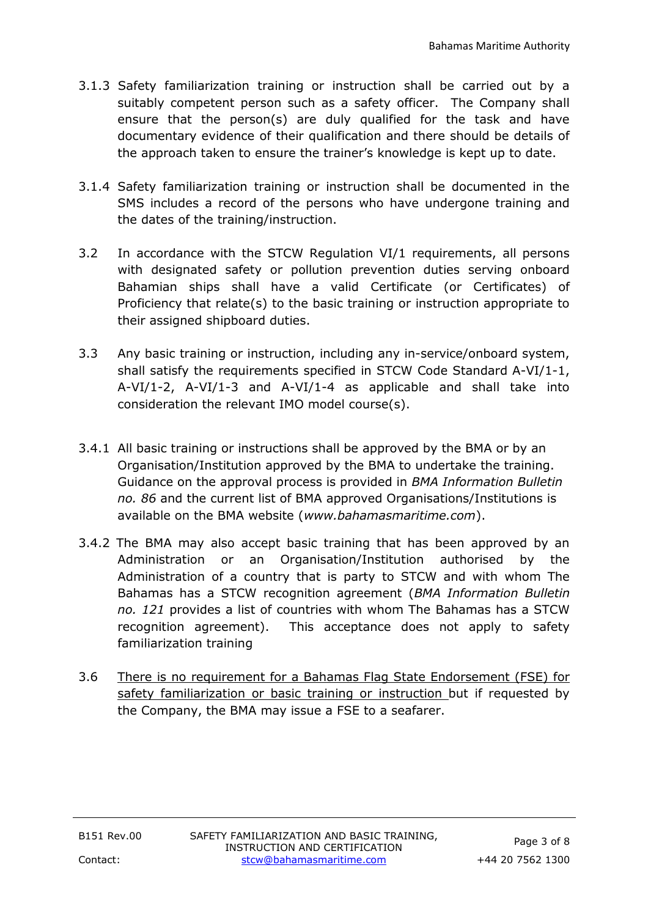- 3.1.3 Safety familiarization training or instruction shall be carried out by a suitably competent person such as a safety officer. The Company shall ensure that the person(s) are duly qualified for the task and have documentary evidence of their qualification and there should be details of the approach taken to ensure the trainer's knowledge is kept up to date.
- 3.1.4 Safety familiarization training or instruction shall be documented in the SMS includes a record of the persons who have undergone training and the dates of the training/instruction.
- 3.2 In accordance with the STCW Regulation VI/1 requirements, all persons with designated safety or pollution prevention duties serving onboard Bahamian ships shall have a valid Certificate (or Certificates) of Proficiency that relate(s) to the basic training or instruction appropriate to their assigned shipboard duties.
- 3.3 Any basic training or instruction, including any in-service/onboard system, shall satisfy the requirements specified in STCW Code Standard A-VI/1-1, A-VI/1-2, A-VI/1-3 and A-VI/1-4 as applicable and shall take into consideration the relevant IMO model course(s).
- 3.4.1 All basic training or instructions shall be approved by the BMA or by an Organisation/Institution approved by the BMA to undertake the training. Guidance on the approval process is provided in *BMA Information Bulletin no. 86* and the current list of BMA approved Organisations/Institutions is available on the BMA website (*www.bahamasmaritime.com*).
- 3.4.2 The BMA may also accept basic training that has been approved by an Administration or an Organisation/Institution authorised by the Administration of a country that is party to STCW and with whom The Bahamas has a STCW recognition agreement (*BMA Information Bulletin no. 121* provides a list of countries with whom The Bahamas has a STCW recognition agreement). This acceptance does not apply to safety familiarization training
- 3.6 There is no requirement for a Bahamas Flag State Endorsement (FSE) for safety familiarization or basic training or instruction but if requested by the Company, the BMA may issue a FSE to a seafarer.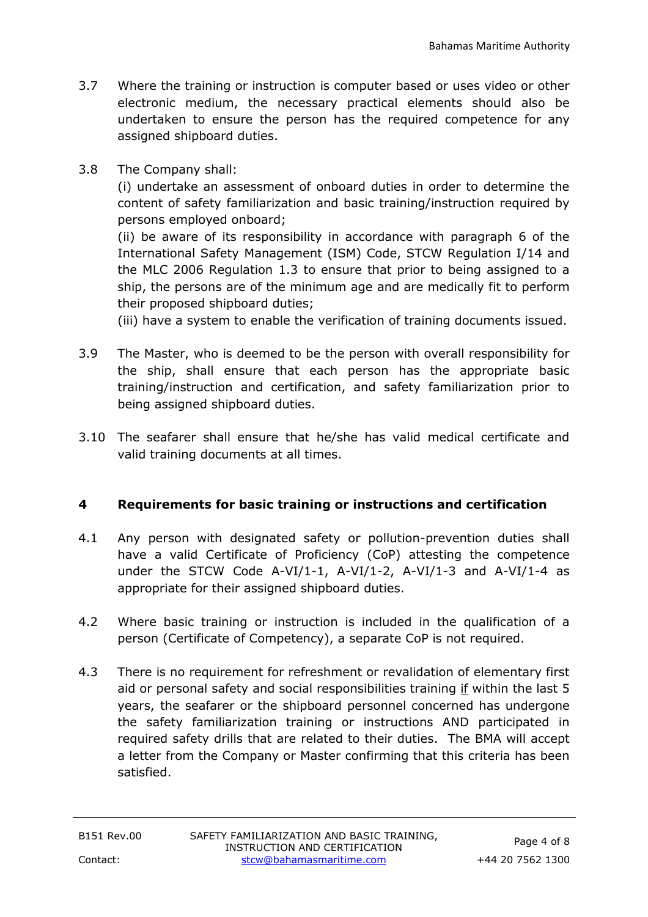- 3.7 Where the training or instruction is computer based or uses video or other electronic medium, the necessary practical elements should also be undertaken to ensure the person has the required competence for any assigned shipboard duties.
- 3.8 The Company shall:

(i) undertake an assessment of onboard duties in order to determine the content of safety familiarization and basic training/instruction required by persons employed onboard;

(ii) be aware of its responsibility in accordance with paragraph 6 of the International Safety Management (ISM) Code, STCW Regulation I/14 and the MLC 2006 Regulation 1.3 to ensure that prior to being assigned to a ship, the persons are of the minimum age and are medically fit to perform their proposed shipboard duties;

(iii) have a system to enable the verification of training documents issued.

- 3.9 The Master, who is deemed to be the person with overall responsibility for the ship, shall ensure that each person has the appropriate basic training/instruction and certification, and safety familiarization prior to being assigned shipboard duties.
- 3.10 The seafarer shall ensure that he/she has valid medical certificate and valid training documents at all times.

## **4 Requirements for basic training or instructions and certification**

- 4.1 Any person with designated safety or pollution-prevention duties shall have a valid Certificate of Proficiency (CoP) attesting the competence under the STCW Code A-VI/1-1, A-VI/1-2, A-VI/1-3 and A-VI/1-4 as appropriate for their assigned shipboard duties.
- 4.2 Where basic training or instruction is included in the qualification of a person (Certificate of Competency), a separate CoP is not required.
- 4.3 There is no requirement for refreshment or revalidation of elementary first aid or personal safety and social responsibilities training if within the last 5 years, the seafarer or the shipboard personnel concerned has undergone the safety familiarization training or instructions AND participated in required safety drills that are related to their duties. The BMA will accept a letter from the Company or Master confirming that this criteria has been satisfied.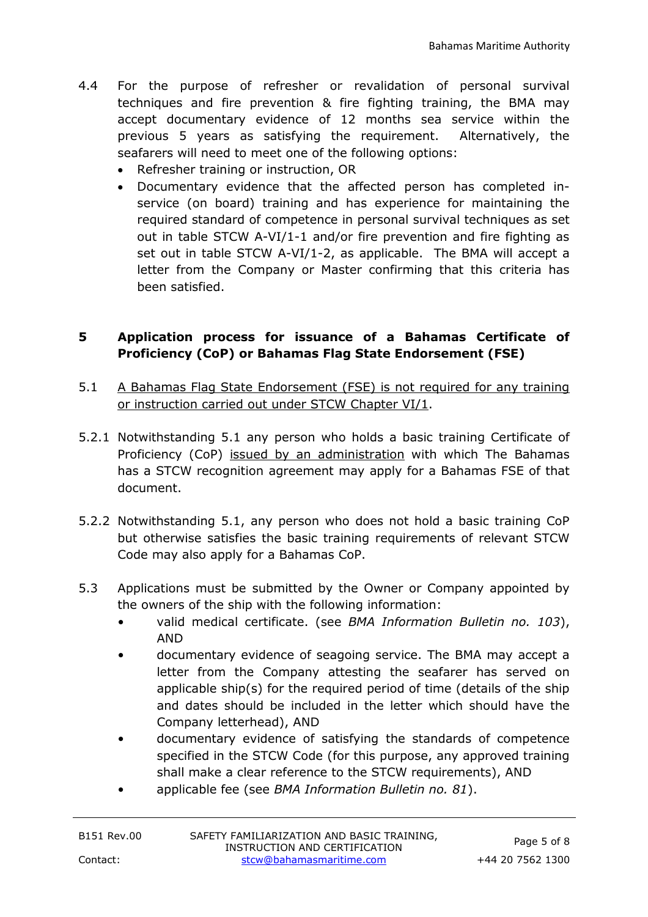- 4.4 For the purpose of refresher or revalidation of personal survival techniques and fire prevention & fire fighting training, the BMA may accept documentary evidence of 12 months sea service within the previous 5 years as satisfying the requirement. Alternatively, the seafarers will need to meet one of the following options:
	- Refresher training or instruction, OR
	- Documentary evidence that the affected person has completed inservice (on board) training and has experience for maintaining the required standard of competence in personal survival techniques as set out in table STCW A-VI/1-1 and/or fire prevention and fire fighting as set out in table STCW A-VI/1-2, as applicable. The BMA will accept a letter from the Company or Master confirming that this criteria has been satisfied.

## **5 Application process for issuance of a Bahamas Certificate of Proficiency (CoP) or Bahamas Flag State Endorsement (FSE)**

- 5.1 A Bahamas Flag State Endorsement (FSE) is not required for any training or instruction carried out under STCW Chapter VI/1.
- 5.2.1 Notwithstanding 5.1 any person who holds a basic training Certificate of Proficiency (CoP) issued by an administration with which The Bahamas has a STCW recognition agreement may apply for a Bahamas FSE of that document.
- 5.2.2 Notwithstanding 5.1, any person who does not hold a basic training CoP but otherwise satisfies the basic training requirements of relevant STCW Code may also apply for a Bahamas CoP.
- 5.3 Applications must be submitted by the Owner or Company appointed by the owners of the ship with the following information:
	- valid medical certificate. (see *BMA Information Bulletin no. 103*), AND
	- documentary evidence of seagoing service. The BMA may accept a letter from the Company attesting the seafarer has served on applicable ship(s) for the required period of time (details of the ship and dates should be included in the letter which should have the Company letterhead), AND
	- documentary evidence of satisfying the standards of competence specified in the STCW Code (for this purpose, any approved training shall make a clear reference to the STCW requirements), AND
	- applicable fee (see *BMA Information Bulletin no. 81*).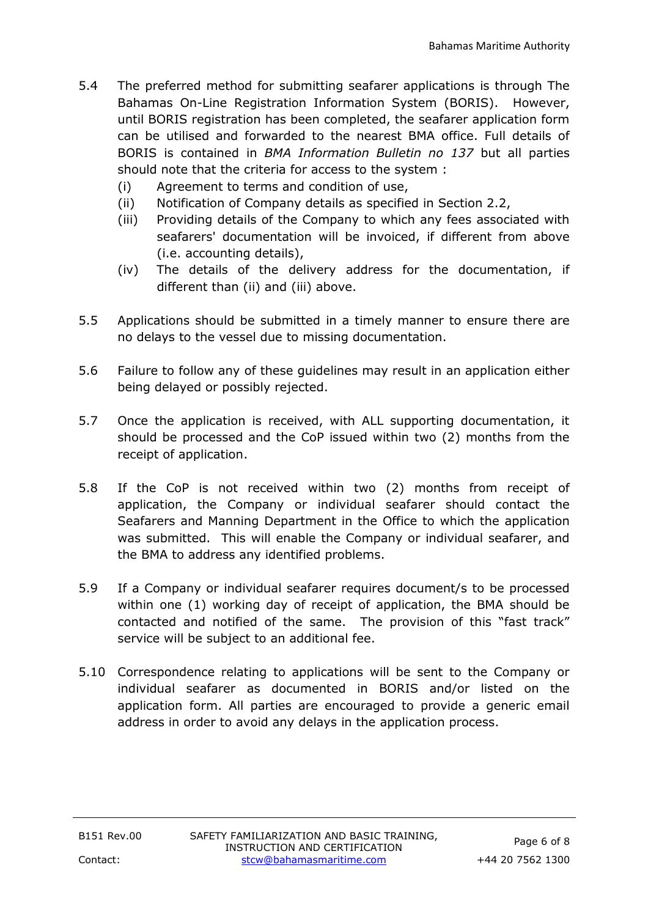- 5.4 The preferred method for submitting seafarer applications is through The Bahamas On-Line Registration Information System (BORIS). However, until BORIS registration has been completed, the seafarer application form can be utilised and forwarded to the nearest BMA office. Full details of BORIS is contained in *BMA Information Bulletin no 137* but all parties should note that the criteria for access to the system :
	- (i) Agreement to terms and condition of use,
	- (ii) Notification of Company details as specified in Section 2.2,
	- (iii) Providing details of the Company to which any fees associated with seafarers' documentation will be invoiced, if different from above (i.e. accounting details),
	- (iv) The details of the delivery address for the documentation, if different than (ii) and (iii) above.
- 5.5 Applications should be submitted in a timely manner to ensure there are no delays to the vessel due to missing documentation.
- 5.6 Failure to follow any of these guidelines may result in an application either being delayed or possibly rejected.
- 5.7 Once the application is received, with ALL supporting documentation, it should be processed and the CoP issued within two (2) months from the receipt of application.
- 5.8 If the CoP is not received within two (2) months from receipt of application, the Company or individual seafarer should contact the Seafarers and Manning Department in the Office to which the application was submitted. This will enable the Company or individual seafarer, and the BMA to address any identified problems.
- 5.9 If a Company or individual seafarer requires document/s to be processed within one (1) working day of receipt of application, the BMA should be contacted and notified of the same. The provision of this "fast track" service will be subject to an additional fee.
- 5.10 Correspondence relating to applications will be sent to the Company or individual seafarer as documented in BORIS and/or listed on the application form. All parties are encouraged to provide a generic email address in order to avoid any delays in the application process.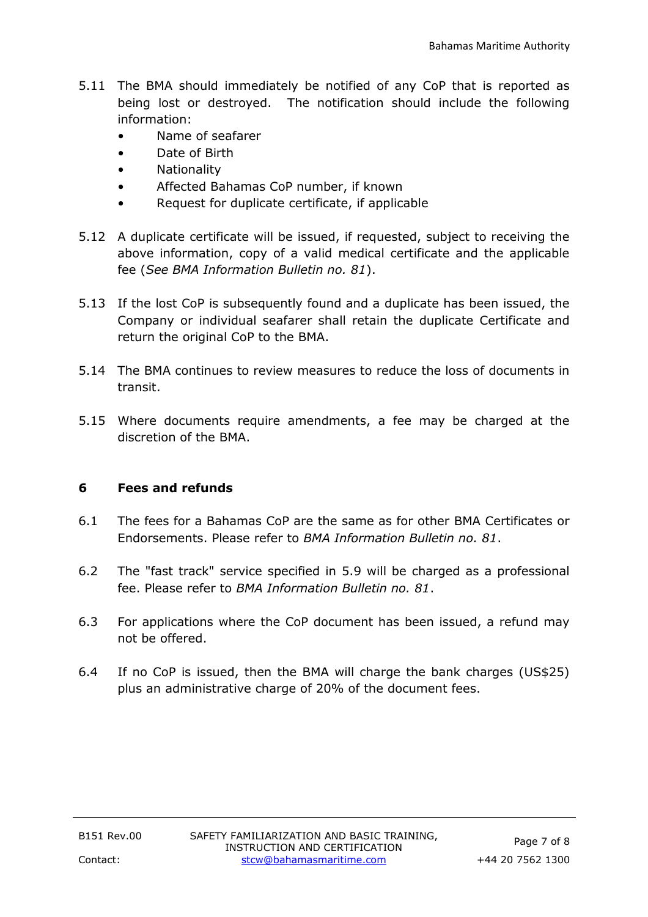- 5.11 The BMA should immediately be notified of any CoP that is reported as being lost or destroyed. The notification should include the following information:
	- Name of seafarer
	- Date of Birth
	- Nationality
	- Affected Bahamas CoP number, if known
	- Request for duplicate certificate, if applicable
- 5.12 A duplicate certificate will be issued, if requested, subject to receiving the above information, copy of a valid medical certificate and the applicable fee (*See BMA Information Bulletin no. 81*).
- 5.13 If the lost CoP is subsequently found and a duplicate has been issued, the Company or individual seafarer shall retain the duplicate Certificate and return the original CoP to the BMA.
- 5.14 The BMA continues to review measures to reduce the loss of documents in transit.
- 5.15 Where documents require amendments, a fee may be charged at the discretion of the BMA.

## **6 Fees and refunds**

- 6.1 The fees for a Bahamas CoP are the same as for other BMA Certificates or Endorsements. Please refer to *BMA Information Bulletin no. 81*.
- 6.2 The "fast track" service specified in 5.9 will be charged as a professional fee. Please refer to *BMA Information Bulletin no. 81*.
- 6.3 For applications where the CoP document has been issued, a refund may not be offered.
- 6.4 If no CoP is issued, then the BMA will charge the bank charges (US\$25) plus an administrative charge of 20% of the document fees.